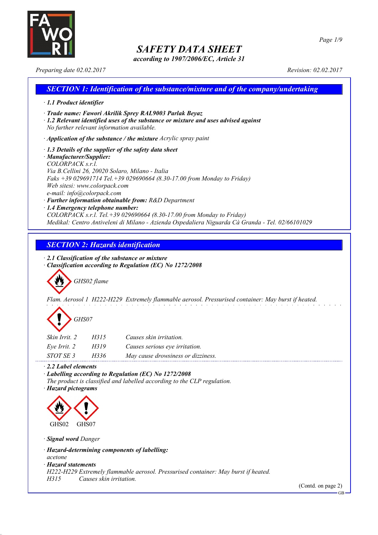

*according to 1907/2006/EC, Article 31*

*Preparing date 02.02.2017 Revision: 02.02.2017*

### *SECTION 1: Identification of the substance/mixture and of the company/undertaking · 1.1 Product identifier · Trade name: Fawori Akrilik Sprey RAL9003 Parlak Beyaz · 1.2 Relevant identified uses of the substance or mixture and uses advised against No further relevant information available. · Application of the substance / the mixture Acrylic spray paint*

*· 1.3 Details of the supplier of the safety data sheet · Manufacturer/Supplier: COLORPACK s.r.l. Via B.Cellini 26, 20020 Solaro, Milano - Italia Faks +39 029691714 Tel.+39 029690664 (8.30-17.00 from Monday to Friday) Web sitesi: www.colorpack.com e-mail: info@colorpack.com · Further information obtainable from: R&D Department*

*· 1.4 Emergency telephone number:*

*COLORPACK s.r.l. Tel.+39 029690664 (8.30-17.00 from Monday to Friday) Medikal: Centro Antiveleni di Milano - Azienda Ospedaliera Niguarda Cà Granda - Tel. 02/66101029*

### *SECTION 2: Hazards identification*

*· 2.1 Classification of the substance or mixture*

*· Classification according to Regulation (EC) No 1272/2008*

*GHS02 flame*

*Flam. Aerosol 1 H222-H229 Extremely flammable aerosol. Pressurised container: May burst if heated.*

# *GHS07*

| Skin Irrit, 2    | H315 | Causes skin irritation.            |
|------------------|------|------------------------------------|
| Eve Irrit. 2     | H319 | Causes serious eye irritation.     |
| <i>STOT SE 3</i> | H336 | May cause drowsiness or dizziness. |

*· 2.2 Label elements*

*· Labelling according to Regulation (EC) No 1272/2008*

*The product is classified and labelled according to the CLP regulation.*

*· Hazard pictograms*



*· Signal word Danger*

*· Hazard-determining components of labelling:*

*acetone*

*· Hazard statements*

*H222-H229 Extremely flammable aerosol. Pressurised container: May burst if heated.*

*H315 Causes skin irritation.*

(Contd. on page 2)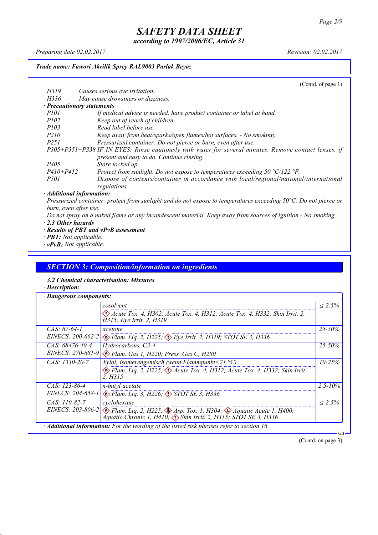*according to 1907/2006/EC, Article 31*

*Preparing date 02.02.2017 Revision: 02.02.2017*

#### *Trade name: Fawori Akrilik Sprey RAL9003 Parlak Beyaz*

(Contd. of page 1) *H319 Causes serious eye irritation. H336 May cause drowsiness or dizziness. · Precautionary statements P101 If medical advice is needed, have product container or label at hand. P102 Keep out of reach of children. P103 Read label before use. P210 Keep away from heat/sparks/open flames/hot surfaces. - No smoking. P251 Pressurized container: Do not pierce or burn, even after use. P305+P351+P338 IF IN EYES: Rinse cautiously with water for several minutes. Remove contact lenses, if present and easy to do. Continue rinsing. P405 Store locked up. P410+P412 Protect from sunlight. Do not expose to temperatures exceeding 50 °C/122 °F. P501 Dispose of contents/container in accordance with local/regional/national/international regulations. · Additional information:*

Pressurized container: protect from sunlight and do not expose to temperatures exceeding 50°C. Do not pierce or *burn, even after use.*

- Do not spray on a naked flame or any incandescent material. Keep away from sources of ignition No smoking.
- *· 2.3 Other hazards*
- *· Results of PBT and vPvB assessment*
- *· PBT: Not applicable.*
- *· vPvB: Not applicable.*

### *SECTION 3: Composition/information on ingredients*

- *· 3.2 Chemical characterisation: Mixtures*
- *· Description:*

|                       | cosolvent                                                                                                                                                                        | $\leq 2.5\%$ |
|-----------------------|----------------------------------------------------------------------------------------------------------------------------------------------------------------------------------|--------------|
|                       | $\langle \rangle$ Acute Tox. 4, H302; Acute Tox. 4, H312; Acute Tox. 4, H332; Skin Irrit. 2,<br>H315; Eye Irrit. 2, H319                                                         |              |
| $CAS: 67-64-1$        | acetone                                                                                                                                                                          | $25 - 50\%$  |
| EINECS: $200-662-2$   | $\otimes$ Flam. Lig. 2, H225; $\otimes$ Eye Irrit. 2, H319; STOT SE 3, H336                                                                                                      |              |
| $CAS: 68476 - 40 - 4$ | Hydrocarbons, C3-4                                                                                                                                                               | $25 - 50\%$  |
|                       | EINECS: 270-681-9 & Flam. Gas 1, H220; Press. Gas C, H280                                                                                                                        |              |
| $CAS: 1330-20-7$      | Xylol, Isomerengemisch (wenn Flammpunkt<21 $^{\circ}$ C)                                                                                                                         | $10 - 25\%$  |
|                       | Elam. Liq. 2, H225; $\Diamond$ Acute Tox. 4, H312; Acute Tox. 4, H332; Skin Irrit.<br>2. H315                                                                                    |              |
| $CAS: 123-86-4$       | $n$ -butyl acetate                                                                                                                                                               | $2.5 - 10\%$ |
| EINECS: $204-658-1$   | $\otimes$ Flam. Lig. 3, H226; $\otimes$ STOT SE 3, H336                                                                                                                          |              |
| CAS: 110-82-7         | cyclohexane                                                                                                                                                                      | $< 2.5\%$    |
|                       | EINECS: 203-806-2 $\otimes$ Flam. Liq. 2, H225; $\otimes$ Asp. Tox. 1, H304; $\otimes$ Aquatic Acute 1, H400;<br>Aquatic Chronic 1, H410, A Skin Irrit. 2, H315, STOT SE 3, H336 |              |

(Contd. on page 3)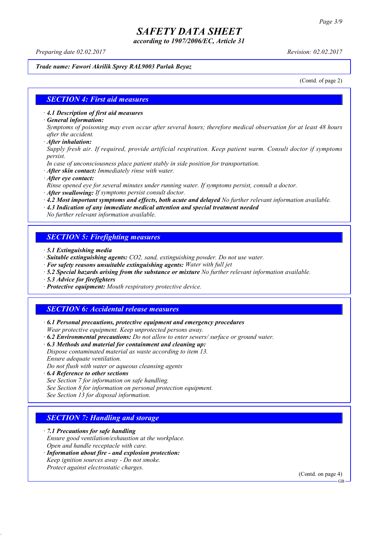*according to 1907/2006/EC, Article 31*

*Preparing date 02.02.2017 Revision: 02.02.2017*

### *Trade name: Fawori Akrilik Sprey RAL9003 Parlak Beyaz*

(Contd. of page 2)

### *SECTION 4: First aid measures*

*· 4.1 Description of first aid measures*

*· General information:*

Symptoms of poisoning may even occur after several hours; therefore medical observation for at least 48 hours *after the accident.*

*· After inhalation:*

*Supply fresh air. If required, provide artificial respiration. Keep patient warm. Consult doctor if symptoms persist.*

*In case of unconsciousness place patient stably in side position for transportation.*

- *· After skin contact: Immediately rinse with water.*
- *· After eye contact:*

*Rinse opened eye for several minutes under running water. If symptoms persist, consult a doctor.*

*· After swallowing: If symptoms persist consult doctor.*

*· 4.2 Most important symptoms and effects, both acute and delayed No further relevant information available.*

*· 4.3 Indication of any immediate medical attention and special treatment needed*

*No further relevant information available.*

### *SECTION 5: Firefighting measures*

- *· 5.1 Extinguishing media*
- *· Suitable extinguishing agents: CO2, sand, extinguishing powder. Do not use water.*
- *· For safety reasons unsuitable extinguishing agents: Water with full jet*
- *· 5.2 Special hazards arising from the substance or mixture No further relevant information available.*
- *· 5.3 Advice for firefighters*
- *· Protective equipment: Mouth respiratory protective device.*

### *SECTION 6: Accidental release measures*

*· 6.1 Personal precautions, protective equipment and emergency procedures Wear protective equipment. Keep unprotected persons away.*

*· 6.2 Environmental precautions: Do not allow to enter sewers/ surface or ground water.*

*· 6.3 Methods and material for containment and cleaning up:*

*Dispose contaminated material as waste according to item 13. Ensure adequate ventilation.*

*Do not flush with water or aqueous cleansing agents*

- *· 6.4 Reference to other sections*
- *See Section 7 for information on safe handling.*

*See Section 8 for information on personal protection equipment.*

*See Section 13 for disposal information.*

### *SECTION 7: Handling and storage*

*· 7.1 Precautions for safe handling*

*Ensure good ventilation/exhaustion at the workplace.*

- *Open and handle receptacle with care.*
- *· Information about fire - and explosion protection: Keep ignition sources away - Do not smoke.*
- *Protect against electrostatic charges.*

(Contd. on page 4)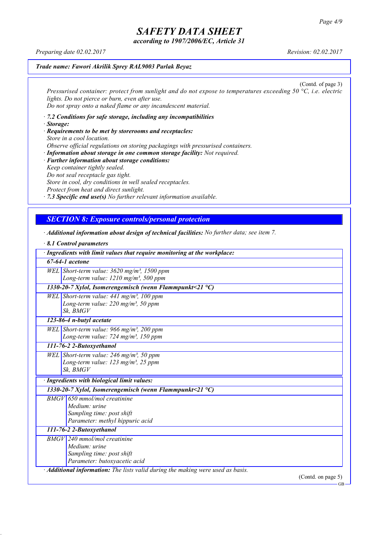*according to 1907/2006/EC, Article 31*

*Preparing date 02.02.2017 Revision: 02.02.2017*

### *Trade name: Fawori Akrilik Sprey RAL9003 Parlak Beyaz*

(Contd. of page 3) *Pressurised container: protect from sunlight and do not expose to temperatures exceeding 50 °C, i.e. electric lights. Do not pierce or burn, even after use. Do not spray onto a naked flame or any incandescent material.*

- *· 7.2 Conditions for safe storage, including any incompatibilities · Storage:*
- *· Requirements to be met by storerooms and receptacles: Store in a cool location. Observe official regulations on storing packagings with pressurised containers.*
- *· Information about storage in one common storage facility: Not required. · Further information about storage conditions: Keep container tightly sealed. Do not seal receptacle gas tight. Store in cool, dry conditions in well sealed receptacles. Protect from heat and direct sunlight.*

*· 7.3 Specific end use(s) No further relevant information available.*

### *SECTION 8: Exposure controls/personal protection*

*· Additional information about design of technical facilities: No further data; see item 7.*

| $\cdot$ 8.1 Control parameters                                                        |
|---------------------------------------------------------------------------------------|
| · Ingredients with limit values that require monitoring at the workplace:             |
| $67-64-1$ acetone                                                                     |
| WEL Short-term value: $3620$ mg/m <sup>3</sup> , 1500 ppm                             |
| Long-term value: $1210$ mg/m <sup>3</sup> , 500 ppm                                   |
| 1330-20-7 Xylol, Isomerengemisch (wenn Flammpunkt<21 $^{\circ}$ C)                    |
| WEL Short-term value: $441$ mg/m <sup>3</sup> , 100 ppm                               |
| Long-term value: $220$ mg/m <sup>3</sup> , 50 ppm                                     |
| Sk, BMGV                                                                              |
| 123-86-4 n-butyl acetate                                                              |
| WEL Short-term value: 966 mg/m <sup>3</sup> , 200 ppm                                 |
| Long-term value: 724 mg/m <sup>3</sup> , 150 ppm                                      |
| 111-76-2 2-Butoxyethanol                                                              |
| WEL Short-term value: $246$ mg/m <sup>3</sup> , 50 ppm                                |
| Long-term value: 123 mg/m <sup>3</sup> , 25 ppm                                       |
| Sk. BMGV                                                                              |
| · Ingredients with biological limit values:                                           |
| 1330-20-7 Xylol, Isomerengemisch (wenn Flammpunkt<21 °C)                              |
| $BMGV$ 650 mmol/mol creatinine                                                        |
| Medium: urine                                                                         |
| Sampling time: post shift                                                             |
| Parameter: methyl hippuric acid                                                       |
| 111-76-2 2-Butoxyethanol                                                              |
| $BMGV$ 240 mmol/mol creatinine                                                        |
| Medium: urine                                                                         |
| Sampling time: post shift                                                             |
| Parameter: butoxyacetic acid                                                          |
| $\cdot$ Additional information: The lists valid during the making were used as basis. |
| (Contd. on page $5$ )                                                                 |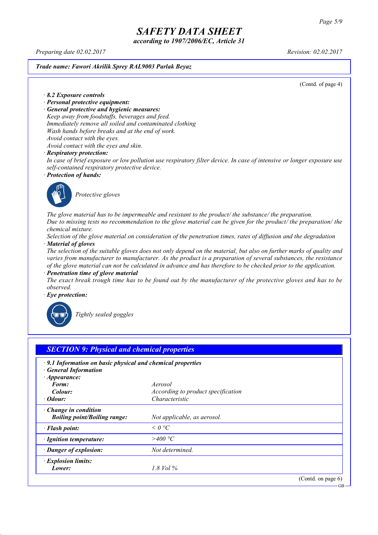*according to 1907/2006/EC, Article 31*

*Preparing date 02.02.2017 Revision: 02.02.2017*

*Trade name: Fawori Akrilik Sprey RAL9003 Parlak Beyaz*

(Contd. of page 4)

*· 8.2 Exposure controls*

- *· Personal protective equipment:*
- *· General protective and hygienic measures:*

*Keep away from foodstuffs, beverages and feed. Immediately remove all soiled and contaminated clothing*

- *Wash hands before breaks and at the end of work.*
- *Avoid contact with the eyes.*

*Avoid contact with the eyes and skin.*

#### *· Respiratory protection:*

In case of brief exposure or low pollution use respiratory filter device. In case of intensive or longer exposure use *self-contained respiratory protective device.*

*· Protection of hands:*



*Protective gloves*

*The glove material has to be impermeable and resistant to the product/ the substance/ the preparation.* Due to missing tests no recommendation to the glove material can be given for the product/ the preparation/ the *chemical mixture.*

Selection of the glove material on consideration of the penetration times, rates of diffusion and the degradation *· Material of gloves*

The selection of the suitable gloves does not only depend on the material, but also on further marks of quality and *varies from manufacturer to manufacturer. As the product is a preparation of several substances, the resistance* of the glove material can not be calculated in advance and has therefore to be checked prior to the application.

*· Penetration time of glove material*

The exact break trough time has to be found out by the manufacturer of the protective gloves and has to be *observed.*

*· Eye protection:*



*Tightly sealed goggles*

| $\cdot$ 9.1 Information on basic physical and chemical properties |                                    |  |
|-------------------------------------------------------------------|------------------------------------|--|
| <b>General Information</b><br>$\cdot$ Appearance:                 |                                    |  |
| Form:                                                             | Aerosol                            |  |
| Colour:                                                           | According to product specification |  |
| $\cdot$ Odour:                                                    | Characteristic                     |  |
| Change in condition                                               |                                    |  |
| <b>Boiling point/Boiling range:</b>                               | Not applicable, as aerosol.        |  |
| · Flash point:                                                    | $\leq$ 0 °C                        |  |
| · Ignition temperature:                                           | >400 °C                            |  |
| · Danger of explosion:                                            | Not determined.                    |  |
| · Explosion limits:                                               |                                    |  |
| Lower:                                                            | $1.8$ Vol $\%$                     |  |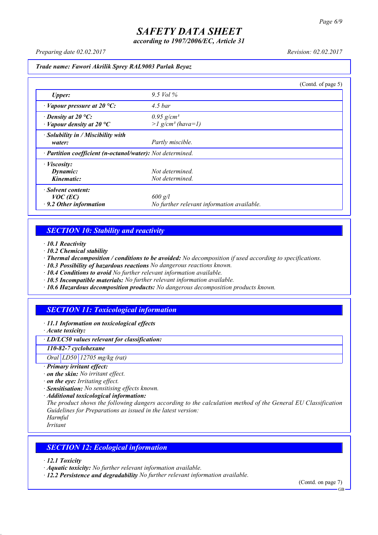*according to 1907/2006/EC, Article 31*

*Preparing date 02.02.2017 Revision: 02.02.2017*

#### *Trade name: Fawori Akrilik Sprey RAL9003 Parlak Beyaz*

|                                                                            |                                                             | (Contd. of page $5$ ) |
|----------------------------------------------------------------------------|-------------------------------------------------------------|-----------------------|
| <b>Upper:</b>                                                              | 9.5 Vol $\%$                                                |                       |
| $\cdot$ Vapour pressure at 20 °C:                                          | 4.5 <sub>bar</sub>                                          |                       |
| $\cdot$ Density at 20 °C:<br>$\cdot$ Vapour density at 20 $\rm{^{\circ}C}$ | $0.95$ g/cm <sup>3</sup><br>$>l$ g/cm <sup>3</sup> (hava=1) |                       |
| · Solubility in / Miscibility with<br>water:                               | Partly miscible.                                            |                       |
| · Partition coefficient (n-octanol/water): Not determined.                 |                                                             |                       |
| $\cdot$ <i>Viscosity:</i>                                                  |                                                             |                       |
| Dynamic:                                                                   | Not determined.                                             |                       |
| Kinematic:                                                                 | Not determined.                                             |                       |
| · Solvent content:                                                         |                                                             |                       |
| $VOC$ (EC)                                                                 | $600$ g/l                                                   |                       |
| $\cdot$ 9.2 Other information                                              | No further relevant information available.                  |                       |

### *SECTION 10: Stability and reactivity*

- *· 10.1 Reactivity*
- *· 10.2 Chemical stability*
- *· Thermal decomposition / conditions to be avoided: No decomposition if used according to specifications.*
- *· 10.3 Possibility of hazardous reactions No dangerous reactions known.*
- *· 10.4 Conditions to avoid No further relevant information available.*
- *· 10.5 Incompatible materials: No further relevant information available.*
- *· 10.6 Hazardous decomposition products: No dangerous decomposition products known.*

### *SECTION 11: Toxicological information*

- *· 11.1 Information on toxicological effects*
- *· Acute toxicity:*

### *· LD/LC50 values relevant for classification:*

#### *110-82-7 cyclohexane*

*Oral LD50 12705 mg/kg (rat)*

#### *· Primary irritant effect:*

- *· on the skin: No irritant effect.*
- *· on the eye: Irritating effect.*
- *· Sensitisation: No sensitising effects known.*
- *· Additional toxicological information:*

*The product shows the following dangers according to the calculation method of the General EU Classification Guidelines for Preparations as issued in the latest version:*

*Harmful*

*Irritant*

### *SECTION 12: Ecological information*

*· 12.1 Toxicity*

- *· Aquatic toxicity: No further relevant information available.*
- *· 12.2 Persistence and degradability No further relevant information available.*

(Contd. on page 7) **GB**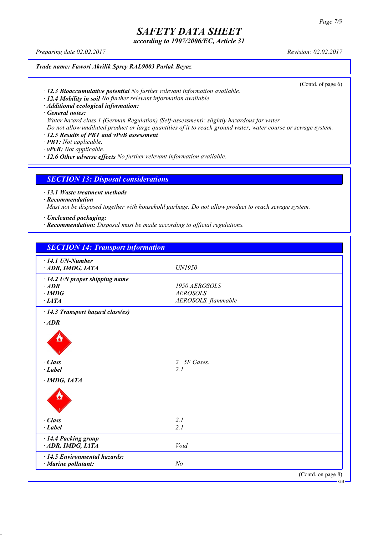*according to 1907/2006/EC, Article 31*

*Preparing date 02.02.2017 Revision: 02.02.2017*

#### *Trade name: Fawori Akrilik Sprey RAL9003 Parlak Beyaz*

(Contd. of page 6)

- *· 12.3 Bioaccumulative potential No further relevant information available.*
- *· 12.4 Mobility in soil No further relevant information available.*
- *· Additional ecological information:*

*· General notes:*

*Water hazard class 1 (German Regulation) (Self-assessment): slightly hazardous for water*

Do not allow undiluted product or large quantities of it to reach ground water, water course or sewage system.

- *· 12.5 Results of PBT and vPvB assessment*
- *· PBT: Not applicable.*
- *· vPvB: Not applicable.*
- *· 12.6 Other adverse effects No further relevant information available.*

### *SECTION 13: Disposal considerations*

*· 13.1 Waste treatment methods*

*· Recommendation*

*Must not be disposed together with household garbage. Do not allow product to reach sewage system.*

*· Uncleaned packaging:*

*· Recommendation: Disposal must be made according to official regulations.*

| <b>SECTION 14: Transport information</b> |                     |  |
|------------------------------------------|---------------------|--|
| $\cdot$ 14.1 UN-Number                   |                     |  |
| ADR, IMDG, IATA                          | UN1950              |  |
| $\cdot$ 14.2 UN proper shipping name     |                     |  |
| $·$ <i>ADR</i>                           | 1950 AEROSOLS       |  |
| $\cdot$ IMDG                             | <b>AEROSOLS</b>     |  |
| $\cdot$ IATA                             | AEROSOLS, flammable |  |
| · 14.3 Transport hazard class(es)        |                     |  |
| $·$ <i>ADR</i>                           |                     |  |
|                                          |                     |  |
| $\cdot$ Class                            | 2 5F Gases.         |  |
| · Label                                  | 2 <sub>1</sub>      |  |
| $\cdot$ IMDG, IATA                       |                     |  |
|                                          |                     |  |
| $\cdot$ Class                            | 2.1                 |  |
| $-Label$                                 | 2.1                 |  |
| · 14.4 Packing group<br>ADR, IMDG, IATA  | Void                |  |
|                                          |                     |  |
| $\cdot$ 14.5 Environmental hazards:      |                     |  |
| · Marine pollutant:                      | N <sub>o</sub>      |  |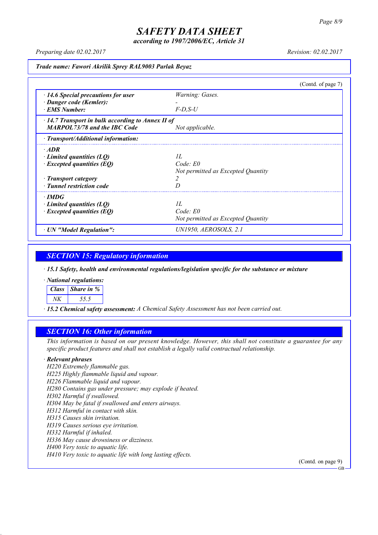*according to 1907/2006/EC, Article 31*

*Preparing date 02.02.2017 Revision: 02.02.2017*

*Trade name: Fawori Akrilik Sprey RAL9003 Parlak Beyaz*

|                                                         |                                    | (Contd. of page $7$ ) |
|---------------------------------------------------------|------------------------------------|-----------------------|
| $\cdot$ 14.6 Special precautions for user               | Warning: Gases.                    |                       |
| · Danger code (Kemler):                                 |                                    |                       |
| · EMS Number:                                           | $F$ -D.S-U                         |                       |
| $\cdot$ 14.7 Transport in bulk according to Annex II of |                                    |                       |
| <b>MARPOL73/78 and the IBC Code</b>                     | Not applicable.                    |                       |
| $\cdot$ Transport/Additional information:               |                                    |                       |
| $\cdot$ ADR                                             |                                    |                       |
| $\cdot$ Limited quantities (LQ)                         | II.                                |                       |
| $\cdot$ Excepted quantities (EQ)                        | Code: E0                           |                       |
|                                                         | Not permitted as Excepted Quantity |                       |
| · Transport category                                    |                                    |                       |
| · Tunnel restriction code                               |                                    |                       |
| $\cdot$ IMDG                                            |                                    |                       |
| Limited quantities $(LQ)$                               | II.                                |                       |
| $\cdot$ Excepted quantities (EQ)                        | Code: E0                           |                       |
|                                                         | Not permitted as Excepted Quantity |                       |
| · UN "Model Regulation":                                | UN1950. AEROSOLS. 2.1              |                       |

*SECTION 15: Regulatory information*

*· 15.1 Safety, health and environmental regulations/legislation specific for the substance or mixture*

*· National regulations:*

| Class Share in % |
|------------------|
|                  |

*· 15.2 Chemical safety assessment: A Chemical Safety Assessment has not been carried out.*

### *SECTION 16: Other information*

This information is based on our present knowledge. However, this shall not constitute a guarantee for any *specific product features and shall not establish a legally valid contractual relationship.*

#### *· Relevant phrases*

*H220 Extremely flammable gas. H225 Highly flammable liquid and vapour. H226 Flammable liquid and vapour. H280 Contains gas under pressure; may explode if heated. H302 Harmful if swallowed. H304 May be fatal if swallowed and enters airways. H312 Harmful in contact with skin. H315 Causes skin irritation. H319 Causes serious eye irritation. H332 Harmful if inhaled. H336 May cause drowsiness or dizziness. H400 Very toxic to aquatic life. H410 Very toxic to aquatic life with long lasting effects.*

(Contd. on page 9)